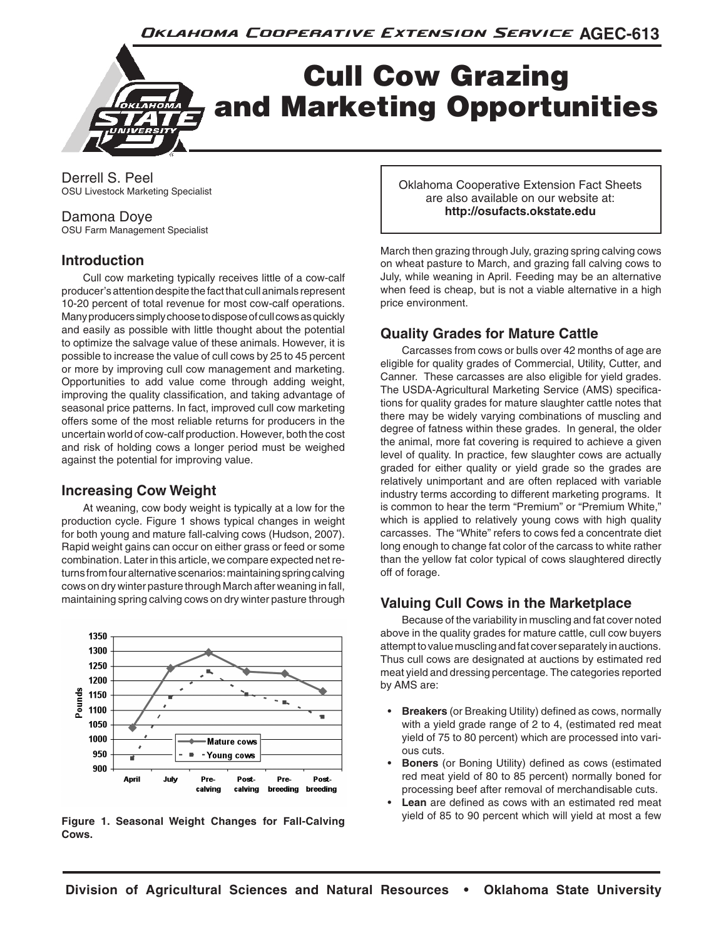

Derrell S. Peel OSU Livestock Marketing Specialist

### Damona Doye

OSU Farm Management Specialist

# **Introduction**

Cull cow marketing typically receives little of a cow-calf producer's attention despite the fact that cull animals represent 10-20 percent of total revenue for most cow-calf operations. Many producers simply choose to dispose of cull cows as quickly and easily as possible with little thought about the potential to optimize the salvage value of these animals. However, it is possible to increase the value of cull cows by 25 to 45 percent or more by improving cull cow management and marketing. Opportunities to add value come through adding weight, improving the quality classification, and taking advantage of seasonal price patterns. In fact, improved cull cow marketing offers some of the most reliable returns for producers in the uncertain world of cow-calf production. However, both the cost and risk of holding cows a longer period must be weighed against the potential for improving value.

# **Increasing Cow Weight**

At weaning, cow body weight is typically at a low for the production cycle. Figure 1 shows typical changes in weight for both young and mature fall-calving cows (Hudson, 2007). Rapid weight gains can occur on either grass or feed or some combination. Later in this article, we compare expected net returns from four alternative scenarios: maintaining spring calving cows on dry winter pasture through March after weaning in fall, maintaining spring calving cows on dry winter pasture through



yield of 85 to 90 percent which will yield at most a few **Figure 1. Seasonal Weight Changes for Fall-Calving Cows.**

Oklahoma Cooperative Extension Fact Sheets are also available on our website at: **http://osufacts.okstate.edu**

March then grazing through July, grazing spring calving cows on wheat pasture to March, and grazing fall calving cows to July, while weaning in April. Feeding may be an alternative when feed is cheap, but is not a viable alternative in a high price environment.

# **Quality Grades for Mature Cattle**

Carcasses from cows or bulls over 42 months of age are eligible for quality grades of Commercial, Utility, Cutter, and Canner. These carcasses are also eligible for yield grades. The USDA-Agricultural Marketing Service (AMS) specifications for quality grades for mature slaughter cattle notes that there may be widely varying combinations of muscling and degree of fatness within these grades. In general, the older the animal, more fat covering is required to achieve a given level of quality. In practice, few slaughter cows are actually graded for either quality or yield grade so the grades are relatively unimportant and are often replaced with variable industry terms according to different marketing programs. It is common to hear the term "Premium" or "Premium White," which is applied to relatively young cows with high quality carcasses. The "White" refers to cows fed a concentrate diet long enough to change fat color of the carcass to white rather than the yellow fat color typical of cows slaughtered directly off of forage.

# **Valuing Cull Cows in the Marketplace**

Because of the variability in muscling and fat cover noted above in the quality grades for mature cattle, cull cow buyers attempt to value muscling and fat cover separately in auctions. Thus cull cows are designated at auctions by estimated red meat yield and dressing percentage. The categories reported by AMS are:

- **Breakers** (or Breaking Utility) defined as cows, normally with a yield grade range of 2 to 4, (estimated red meat yield of 75 to 80 percent) which are processed into various cuts.
- **Boners** (or Boning Utility) defined as cows (estimated red meat yield of 80 to 85 percent) normally boned for processing beef after removal of merchandisable cuts.
- Lean are defined as cows with an estimated red meat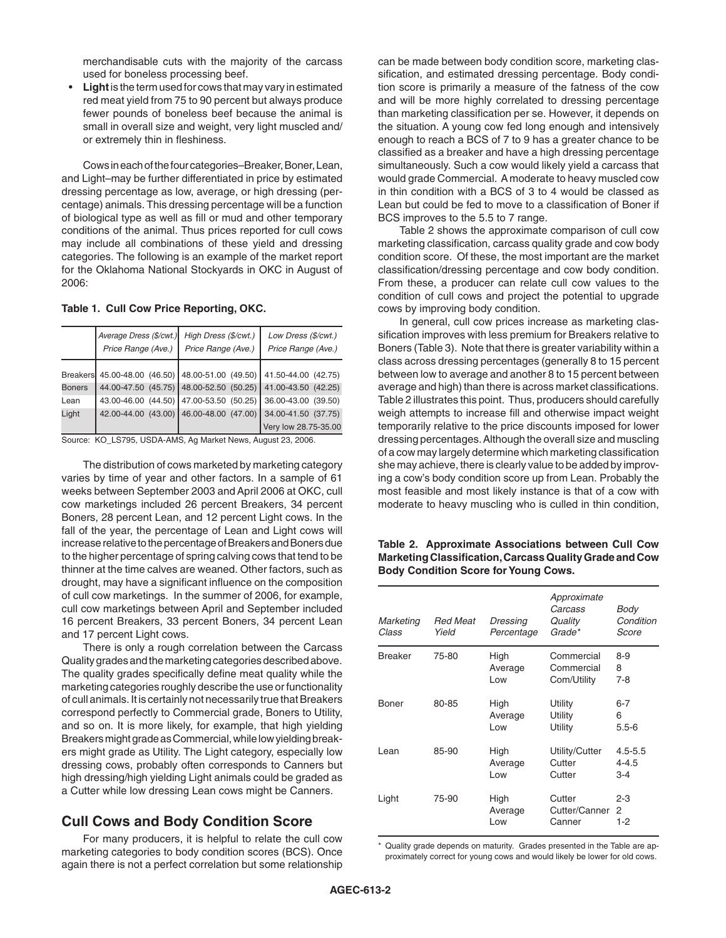merchandisable cuts with the majority of the carcass used for boneless processing beef.

**Light** is the term used for cows that may vary in estimated red meat yield from 75 to 90 percent but always produce fewer pounds of boneless beef because the animal is small in overall size and weight, very light muscled and/ or extremely thin in fleshiness.

Cows in each of the four categories–Breaker, Boner, Lean, and Light–may be further differentiated in price by estimated dressing percentage as low, average, or high dressing (percentage) animals. This dressing percentage will be a function of biological type as well as fill or mud and other temporary conditions of the animal. Thus prices reported for cull cows may include all combinations of these yield and dressing categories. The following is an example of the market report for the Oklahoma National Stockyards in OKC in August of 2006:

**Table 1. Cull Cow Price Reporting, OKC.**

|               | Average Dress (\$/cwt.)<br>Price Range (Ave.)                        | High Dress (\$/cwt.)<br>Price Range (Ave.) | Low Dress (\$/cwt.)<br>Price Range (Ave.)                   |  |
|---------------|----------------------------------------------------------------------|--------------------------------------------|-------------------------------------------------------------|--|
|               | Breakers 45.00-48.00 (46.50) 48.00-51.00 (49.50) 41.50-44.00 (42.75) |                                            |                                                             |  |
| <b>Boners</b> |                                                                      |                                            | 44.00-47.50 (45.75) 48.00-52.50 (50.25) 41.00-43.50 (42.25) |  |
| Lean          |                                                                      | 43.00-46.00 (44.50) 47.00-53.50 (50.25)    | $ 36.00 - 43.00 (39.50) $                                   |  |
| Light         |                                                                      |                                            | 42.00-44.00 (43.00) 46.00-48.00 (47.00) 34.00-41.50 (37.75) |  |
|               |                                                                      |                                            | Very low 28.75-35.00                                        |  |

Source: KO\_LS795, USDA-AMS, Ag Market News, August 23, 2006.

The distribution of cows marketed by marketing category varies by time of year and other factors. In a sample of 61 weeks between September 2003 and April 2006 at OKC, cull cow marketings included 26 percent Breakers, 34 percent Boners, 28 percent Lean, and 12 percent Light cows. In the fall of the year, the percentage of Lean and Light cows will increase relative to the percentage of Breakers and Boners due to the higher percentage of spring calving cows that tend to be thinner at the time calves are weaned. Other factors, such as drought, may have a significant influence on the composition of cull cow marketings. In the summer of 2006, for example, cull cow marketings between April and September included 16 percent Breakers, 33 percent Boners, 34 percent Lean and 17 percent Light cows.

There is only a rough correlation between the Carcass Quality grades and the marketing categories described above. The quality grades specifically define meat quality while the marketing categories roughly describe the use or functionality of cull animals. It is certainly not necessarily true that Breakers correspond perfectly to Commercial grade, Boners to Utility, and so on. It is more likely, for example, that high yielding Breakers might grade as Commercial, while low yielding breakers might grade as Utility. The Light category, especially low dressing cows, probably often corresponds to Canners but high dressing/high yielding Light animals could be graded as a Cutter while low dressing Lean cows might be Canners.

# **Cull Cows and Body Condition Score**

For many producers, it is helpful to relate the cull cow marketing categories to body condition scores (BCS). Once again there is not a perfect correlation but some relationship can be made between body condition score, marketing classification, and estimated dressing percentage. Body condition score is primarily a measure of the fatness of the cow and will be more highly correlated to dressing percentage than marketing classification per se. However, it depends on the situation. A young cow fed long enough and intensively enough to reach a BCS of 7 to 9 has a greater chance to be classified as a breaker and have a high dressing percentage simultaneously. Such a cow would likely yield a carcass that would grade Commercial. A moderate to heavy muscled cow in thin condition with a BCS of 3 to 4 would be classed as Lean but could be fed to move to a classification of Boner if BCS improves to the 5.5 to 7 range.

Table 2 shows the approximate comparison of cull cow marketing classification, carcass quality grade and cow body condition score. Of these, the most important are the market classification/dressing percentage and cow body condition. From these, a producer can relate cull cow values to the condition of cull cows and project the potential to upgrade cows by improving body condition.

In general, cull cow prices increase as marketing classification improves with less premium for Breakers relative to Boners (Table 3). Note that there is greater variability within a class across dressing percentages (generally 8 to 15 percent between low to average and another 8 to 15 percent between average and high) than there is across market classifications. Table 2 illustrates this point. Thus, producers should carefully weigh attempts to increase fill and otherwise impact weight temporarily relative to the price discounts imposed for lower dressing percentages. Although the overall size and muscling of a cow may largely determine which marketing classification she may achieve, there is clearly value to be added by improving a cow's body condition score up from Lean. Probably the most feasible and most likely instance is that of a cow with moderate to heavy muscling who is culled in thin condition,

| Table 2. Approximate Associations between Cull Cow      |  |  |
|---------------------------------------------------------|--|--|
| Marketing Classification, Carcass Quality Grade and Cow |  |  |
| <b>Body Condition Score for Young Cows.</b>             |  |  |

| Marketing<br>Class | <b>Red Meat</b><br>Yield | Dressing<br>Percentage | Approximate<br>Carcass<br>Quality<br>Grade* | Body<br>Condition<br>Score      |
|--------------------|--------------------------|------------------------|---------------------------------------------|---------------------------------|
| <b>Breaker</b>     | 75-80                    | High<br>Average<br>Low | Commercial<br>Commercial<br>Com/Utility     | $8-9$<br>8<br>7-8               |
| Boner              | 80-85                    | High<br>Average<br>Low | Utility<br>Utility<br>Utility               | $6 - 7$<br>6<br>$5.5 - 6$       |
| Lean               | 85-90                    | High<br>Average<br>Low | Utility/Cutter<br>Cutter<br>Cutter          | $4.5 - 5.5$<br>4-4.5<br>$3 - 4$ |
| Light              | 75-90                    | High<br>Average<br>Low | Cutter<br>Cutter/Canner<br>Canner           | $2 - 3$<br>2<br>1-2             |

Quality grade depends on maturity. Grades presented in the Table are approximately correct for young cows and would likely be lower for old cows.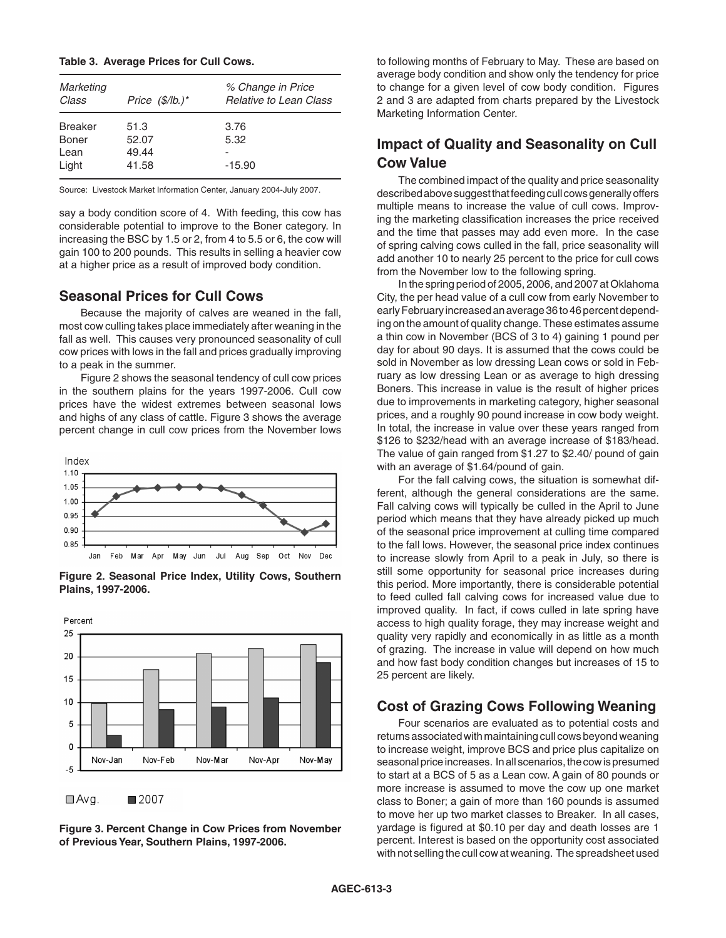#### **Table 3. Average Prices for Cull Cows.**

| Marketing<br>Class                       | Price $(\frac{f}{B})^*$         | % Change in Price<br><b>Relative to Lean Class</b> |
|------------------------------------------|---------------------------------|----------------------------------------------------|
| <b>Breaker</b><br>Boner<br>Lean<br>Light | 51.3<br>52.07<br>49.44<br>41.58 | 3.76<br>5.32<br>$-15.90$                           |

Source: Livestock Market Information Center, January 2004-July 2007.

say a body condition score of 4. With feeding, this cow has considerable potential to improve to the Boner category. In increasing the BSC by 1.5 or 2, from 4 to 5.5 or 6, the cow will gain 100 to 200 pounds. This results in selling a heavier cow at a higher price as a result of improved body condition.

### **Seasonal Prices for Cull Cows**

Because the majority of calves are weaned in the fall, most cow culling takes place immediately after weaning in the fall as well. This causes very pronounced seasonality of cull cow prices with lows in the fall and prices gradually improving to a peak in the summer.

Figure 2 shows the seasonal tendency of cull cow prices in the southern plains for the years 1997-2006. Cull cow prices have the widest extremes between seasonal lows and highs of any class of cattle. Figure 3 shows the average percent change in cull cow prices from the November lows



**Figure 2. Seasonal Price Index, Utility Cows, Southern Plains, 1997-2006.**



**Figure 3. Percent Change in Cow Prices from November of Previous Year, Southern Plains, 1997-2006.**

to following months of February to May. These are based on average body condition and show only the tendency for price to change for a given level of cow body condition. Figures 2 and 3 are adapted from charts prepared by the Livestock Marketing Information Center.

# **Impact of Quality and Seasonality on Cull Cow Value**

The combined impact of the quality and price seasonality described above suggest that feeding cull cows generally offers multiple means to increase the value of cull cows. Improving the marketing classification increases the price received and the time that passes may add even more. In the case of spring calving cows culled in the fall, price seasonality will add another 10 to nearly 25 percent to the price for cull cows from the November low to the following spring.

In the spring period of 2005, 2006, and 2007 at Oklahoma City, the per head value of a cull cow from early November to early February increased an average 36 to 46 percent depending on the amount of quality change. These estimates assume a thin cow in November (BCS of 3 to 4) gaining 1 pound per day for about 90 days. It is assumed that the cows could be sold in November as low dressing Lean cows or sold in February as low dressing Lean or as average to high dressing Boners. This increase in value is the result of higher prices due to improvements in marketing category, higher seasonal prices, and a roughly 90 pound increase in cow body weight. In total, the increase in value over these years ranged from \$126 to \$232/head with an average increase of \$183/head. The value of gain ranged from \$1.27 to \$2.40/ pound of gain with an average of \$1.64/pound of gain.

For the fall calving cows, the situation is somewhat different, although the general considerations are the same. Fall calving cows will typically be culled in the April to June period which means that they have already picked up much of the seasonal price improvement at culling time compared to the fall lows. However, the seasonal price index continues to increase slowly from April to a peak in July, so there is still some opportunity for seasonal price increases during this period. More importantly, there is considerable potential to feed culled fall calving cows for increased value due to improved quality. In fact, if cows culled in late spring have access to high quality forage, they may increase weight and quality very rapidly and economically in as little as a month of grazing. The increase in value will depend on how much and how fast body condition changes but increases of 15 to 25 percent are likely.

### **Cost of Grazing Cows Following Weaning**

Four scenarios are evaluated as to potential costs and returns associated with maintaining cull cows beyond weaning to increase weight, improve BCS and price plus capitalize on seasonal price increases. In all scenarios, the cow is presumed to start at a BCS of 5 as a Lean cow. A gain of 80 pounds or more increase is assumed to move the cow up one market class to Boner; a gain of more than 160 pounds is assumed to move her up two market classes to Breaker. In all cases, yardage is figured at \$0.10 per day and death losses are 1 percent. Interest is based on the opportunity cost associated with not selling the cull cow at weaning. The spreadsheet used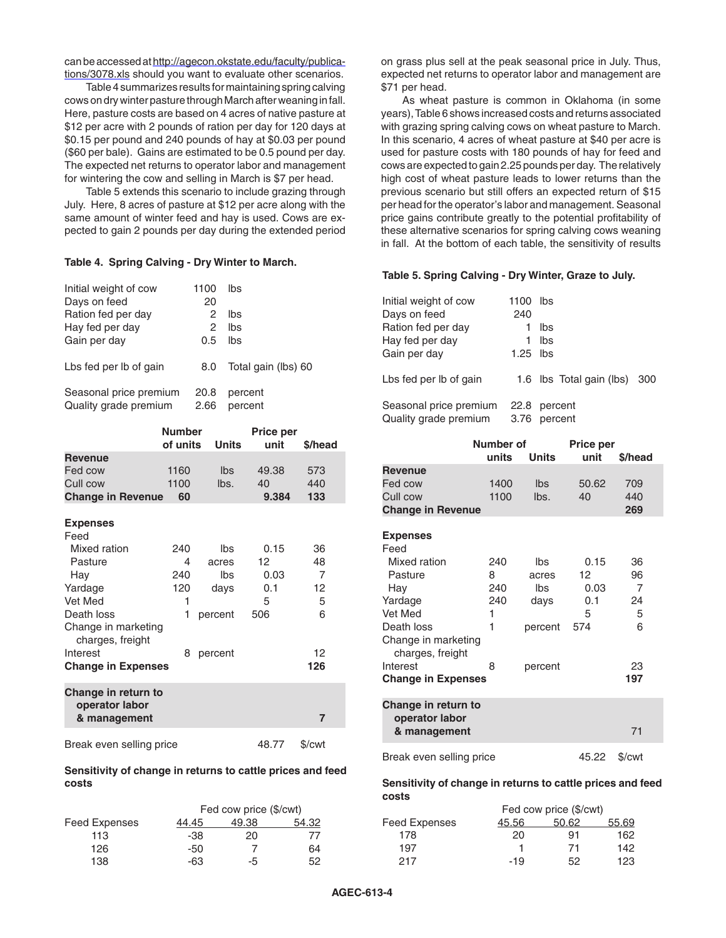can be accessed at http://agecon.okstate.edu/faculty/publications/3078.xls should you want to evaluate other scenarios.

Table 4 summarizes results for maintaining spring calving cows on dry winter pasture through March after weaning in fall. Here, pasture costs are based on 4 acres of native pasture at \$12 per acre with 2 pounds of ration per day for 120 days at \$0.15 per pound and 240 pounds of hay at \$0.03 per pound (\$60 per bale). Gains are estimated to be 0.5 pound per day. The expected net returns to operator labor and management for wintering the cow and selling in March is \$7 per head.

Table 5 extends this scenario to include grazing through July. Here, 8 acres of pasture at \$12 per acre along with the same amount of winter feed and hay is used. Cows are expected to gain 2 pounds per day during the extended period

#### **Table 4. Spring Calving - Dry Winter to March.**

| Initial weight of cow                           | 1100         | lbs                 |
|-------------------------------------------------|--------------|---------------------|
| Days on feed                                    | 20           |                     |
| Ration fed per day                              | 2            | lbs                 |
| Hay fed per day                                 | 2            | lbs                 |
| Gain per day                                    | 0.5          | lbs                 |
| Lbs fed per lb of gain                          | 8.0          | Total gain (lbs) 60 |
| Seasonal price premium<br>Quality grade premium | 20.8<br>2.66 | percent<br>percent  |

|                                                       | <b>Number</b><br>of units | <b>Units</b> | Price per<br>unit | \$/head        |
|-------------------------------------------------------|---------------------------|--------------|-------------------|----------------|
| <b>Revenue</b>                                        |                           |              |                   |                |
| Fed cow                                               | 1160                      | Ibs          | 49.38             | 573            |
| Cull cow                                              | 1100                      | lbs.         | 40                | 440            |
|                                                       |                           |              |                   |                |
| <b>Change in Revenue</b>                              | 60                        |              | 9.384             | 133            |
| <b>Expenses</b><br>Feed                               |                           |              |                   |                |
| Mixed ration                                          | 240                       | lbs          | 0.15              | 36             |
| Pasture                                               | 4                         | acres        | 12 <sup>2</sup>   | 48             |
| Hay                                                   | 240                       | lbs          | 0.03              | 7              |
| Yardage                                               | 120                       | days         | 0.1               | 12             |
| Vet Med                                               | 1                         |              | 5                 | 5              |
| Death loss                                            | 1                         | percent      | 506               | 6              |
| Change in marketing<br>charges, freight               |                           |              |                   |                |
| Interest                                              | 8                         | percent      |                   | 12             |
| <b>Change in Expenses</b>                             |                           |              |                   | 126            |
| Change in return to<br>operator labor<br>& management |                           |              |                   | $\overline{7}$ |
| Break even selling price                              |                           |              | 48.77             | \$/cwt         |

#### **Sensitivity of change in returns to cattle prices and feed costs**

|                      | Fed cow price (\$/cwt) |       |       |  |  |
|----------------------|------------------------|-------|-------|--|--|
| <b>Feed Expenses</b> | 44.45                  | 49.38 | 54.32 |  |  |
| 113                  | -38                    | 20    |       |  |  |
| 126                  | -50                    |       | 64    |  |  |
| 138                  | -63                    | -5    | 52.   |  |  |

on grass plus sell at the peak seasonal price in July. Thus, expected net returns to operator labor and management are \$71 per head.

As wheat pasture is common in Oklahoma (in some years), Table 6 shows increased costs and returns associated with grazing spring calving cows on wheat pasture to March. In this scenario, 4 acres of wheat pasture at \$40 per acre is used for pasture costs with 180 pounds of hay for feed and cows are expected to gain 2.25 pounds per day. The relatively high cost of wheat pasture leads to lower returns than the previous scenario but still offers an expected return of \$15 per head for the operator's labor and management. Seasonal price gains contribute greatly to the potential profitability of these alternative scenarios for spring calving cows weaning in fall. At the bottom of each table, the sensitivity of results

#### **Table 5. Spring Calving - Dry Winter, Graze to July.**

| Initial weight of cow<br>Days on feed<br>Ration fed per day<br>Hay fed per day<br>Gain per day | 1100 lbs<br>240<br>$1.25$ lbs | lbs<br>lbs               |     |
|------------------------------------------------------------------------------------------------|-------------------------------|--------------------------|-----|
| Lbs fed per lb of gain                                                                         |                               | 1.6 lbs Total gain (lbs) | 300 |
| Seasonal price premium<br>Quality grade premium                                                | 22.8<br>3.76                  | percent<br>percent       |     |

|                                         | Number of |              | <b>Price per</b> |         |
|-----------------------------------------|-----------|--------------|------------------|---------|
|                                         | units     | <b>Units</b> | unit             | \$/head |
| <b>Revenue</b>                          |           |              |                  |         |
| Fed cow                                 | 1400      | lbs          | 50.62            | 709     |
| Cull cow                                | 1100      | lbs.         | 40               | 440     |
| <b>Change in Revenue</b>                |           |              |                  | 269     |
|                                         |           |              |                  |         |
| <b>Expenses</b><br>Feed                 |           |              |                  |         |
| Mixed ration                            | 240       | lbs          | 0.15             | 36      |
| Pasture                                 | 8         | acres        | 12               | 96      |
| Hay                                     | 240       | lbs          | 0.03             | 7       |
| Yardage                                 | 240       | days         | 0.1              | 24      |
| Vet Med                                 | 1         |              | 5                | 5       |
| Death loss                              | 1         | percent      | 574              | 6       |
| Change in marketing<br>charges, freight |           |              |                  |         |
| Interest                                | 8         | percent      |                  | 23      |
| <b>Change in Expenses</b>               |           |              |                  | 197     |
| Change in return to<br>operator labor   |           |              |                  |         |
| & management                            |           |              |                  | 71      |
| Break even selling price                |           |              | 45.22            | \$/cwt  |

#### **Sensitivity of change in returns to cattle prices and feed costs**

|                      |       | Fed cow price (\$/cwt) |       |
|----------------------|-------|------------------------|-------|
| <b>Feed Expenses</b> | 45.56 | 50.62                  | 55.69 |
| 178                  | 20    | 91                     | 162   |
| 197                  |       | 71                     | 142   |
| 217                  | $-19$ | 52                     | 123   |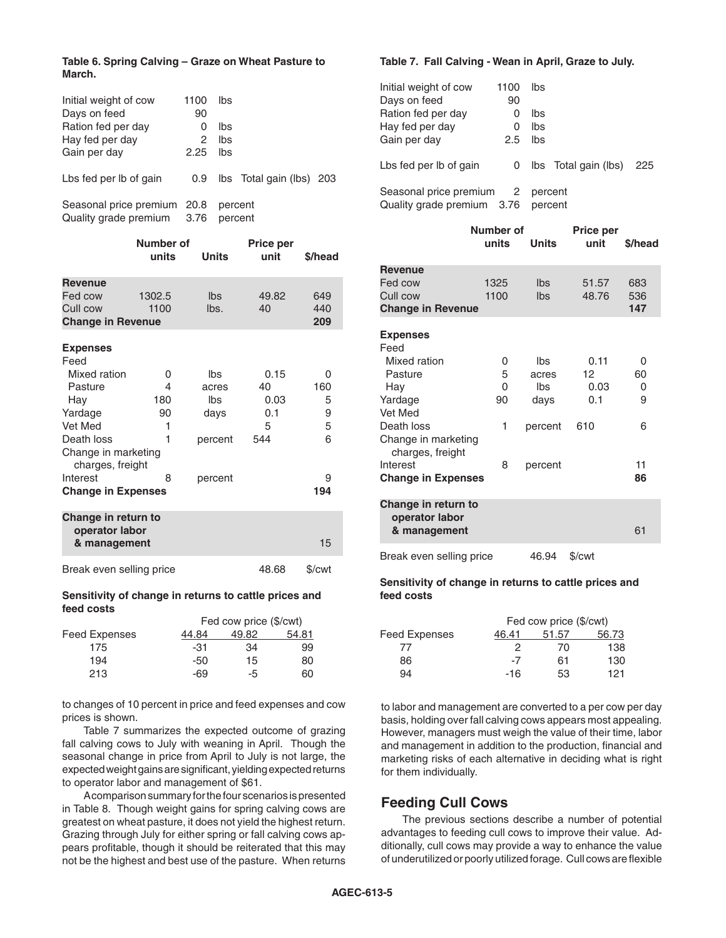### **Table 6. Spring Calving – Graze on Wheat Pasture to March.**

| Initial weight of cow<br>Days on feed<br>Ration fed per day<br>Hay fed per day<br>Gain per day | 1100<br>90<br>0<br>2<br>2.25 | lbs<br>lbs<br>lbs<br>lbs |                          |  |
|------------------------------------------------------------------------------------------------|------------------------------|--------------------------|--------------------------|--|
| Lbs fed per lb of gain                                                                         | 0.9                          |                          | Ibs Total gain (Ibs) 203 |  |
| Seasonal price premium 20.8<br>Quality grade premium                                           | 3.76                         |                          | percent<br>percent       |  |

|                                                       | Number of<br>units | <b>Units</b> | Price per<br>unit | \$/head |
|-------------------------------------------------------|--------------------|--------------|-------------------|---------|
| <b>Revenue</b>                                        |                    |              |                   |         |
| Fed cow                                               | 1302.5             | Ibs          | 49.82             | 649     |
| Cull cow                                              | 1100               | lbs.         | 40                | 440     |
| <b>Change in Revenue</b>                              |                    |              |                   | 209     |
| <b>Expenses</b><br>Feed                               |                    |              |                   |         |
| Mixed ration                                          | 0                  | lbs          | 0.15              | 0       |
| Pasture                                               | 4                  | acres        | 40                | 160     |
| Hay                                                   | 180                | Ibs          | 0.03              | 5       |
| Yardage                                               | 90                 | days         | 0.1               | 9       |
| Vet Med                                               | 1                  |              | 5                 | 5       |
| Death loss                                            | 1                  | percent      | 544               | 6       |
| Change in marketing<br>charges, freight               |                    |              |                   |         |
| Interest                                              | 8                  | percent      |                   | 9       |
| <b>Change in Expenses</b>                             |                    |              |                   | 194     |
| Change in return to<br>operator labor<br>& management |                    |              |                   | 15      |
| Break even selling price                              |                    |              | 48.68             | \$/cwt  |

#### **Sensitivity of change in returns to cattle prices and feed costs**

| Fed cow price (\$/cwt) |       |       |  |
|------------------------|-------|-------|--|
| 44.84                  | 49.82 | 54.81 |  |
| -31                    | 34    | 99    |  |
| -50                    | 15    | 80    |  |
| -69                    | -5    | 60    |  |
|                        |       |       |  |

to changes of 10 percent in price and feed expenses and cow prices is shown.

Table 7 summarizes the expected outcome of grazing fall calving cows to July with weaning in April. Though the seasonal change in price from April to July is not large, the expected weight gains are significant, yielding expected returns to operator labor and management of \$61.

A comparison summary for the four scenarios is presented in Table 8. Though weight gains for spring calving cows are greatest on wheat pasture, it does not yield the highest return. Grazing through July for either spring or fall calving cows appears profitable, though it should be reiterated that this may not be the highest and best use of the pasture. When returns

### **Table 7. Fall Calving - Wean in April, Graze to July.**

| Initial weight of cow                                  | 1100 | lbs                |                          |  |
|--------------------------------------------------------|------|--------------------|--------------------------|--|
| Days on feed                                           | 90   |                    |                          |  |
| Ration fed per day                                     | Ω    | lbs                |                          |  |
| Hay fed per day                                        | Ω    | lbs                |                          |  |
| Gain per day                                           | 2.5  | <b>lbs</b>         |                          |  |
| Lbs fed per lb of gain                                 | 0    |                    | Ibs Total gain (Ibs) 225 |  |
| Seasonal price premium 2<br>Quality grade premium 3.76 |      | percent<br>percent |                          |  |

|                                                       | Number of<br>units | Units   | Price per<br>unit | \$/head |
|-------------------------------------------------------|--------------------|---------|-------------------|---------|
| <b>Revenue</b>                                        |                    |         |                   |         |
| Fed cow                                               | 1325               | Ibs     | 51.57             | 683     |
| Cull cow                                              | 1100               | Ibs     | 48.76             | 536     |
| <b>Change in Revenue</b>                              |                    |         |                   | 147     |
| <b>Expenses</b>                                       |                    |         |                   |         |
| Feed                                                  |                    |         |                   |         |
| Mixed ration                                          | 0                  | lbs     | 0.11              | 0       |
| Pasture                                               | 5                  | acres   | 12                | 60      |
| Hay                                                   | 0                  | lbs     | 0.03              | 0       |
| Yardage                                               | 90                 | days    | 0.1               | 9       |
| Vet Med                                               |                    |         |                   |         |
| Death loss                                            | 1                  | percent | 610               | 6       |
| Change in marketing                                   |                    |         |                   |         |
| charges, freight                                      |                    |         |                   |         |
| Interest                                              | 8                  | percent |                   | 11      |
| <b>Change in Expenses</b>                             |                    |         |                   | 86      |
| Change in return to<br>operator labor<br>& management |                    |         |                   | 61      |
| Break even selling price                              |                    | 46.94   | \$/cwt            |         |

#### **Sensitivity of change in returns to cattle prices and feed costs**

| Feed Expenses | Fed cow price (\$/cwt) |       |       |  |
|---------------|------------------------|-------|-------|--|
|               | 46.41                  | 51.57 | 56.73 |  |
| 77            | 2                      | 70    | 138   |  |
| 86            | $-7$                   | 61    | 130   |  |
| 94            | $-16$                  | 53    | 121   |  |
|               |                        |       |       |  |

to labor and management are converted to a per cow per day basis, holding over fall calving cows appears most appealing. However, managers must weigh the value of their time, labor and management in addition to the production, financial and marketing risks of each alternative in deciding what is right for them individually.

# **Feeding Cull Cows**

The previous sections describe a number of potential advantages to feeding cull cows to improve their value. Additionally, cull cows may provide a way to enhance the value of underutilized or poorly utilized forage. Cull cows are flexible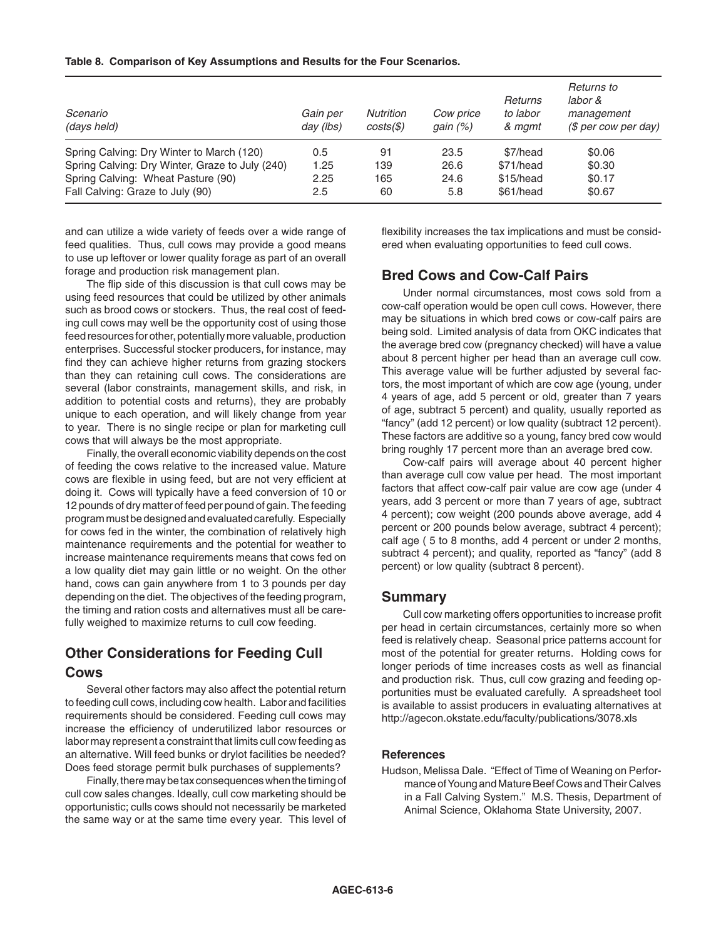### **Table 8. Comparison of Key Assumptions and Results for the Four Scenarios.**

| Scenario<br>(days held)                         | Gain per<br>day (lbs) | <b>Nutrition</b><br>$costs(\text{\textsterling})$ | Cow price<br>gain $(%)$ | Returns<br>to labor<br>& mgmt | Returns to<br>labor &<br>management<br>$$$ per cow per day) |
|-------------------------------------------------|-----------------------|---------------------------------------------------|-------------------------|-------------------------------|-------------------------------------------------------------|
| Spring Calving: Dry Winter to March (120)       | 0.5                   | 91                                                | 23.5                    | \$7/head                      | \$0.06                                                      |
| Spring Calving: Dry Winter, Graze to July (240) | 1.25                  | 139                                               | 26.6                    | \$71/head                     | \$0.30                                                      |
| Spring Calving: Wheat Pasture (90)              | 2.25                  | 165                                               | 24.6                    | \$15/head                     | \$0.17                                                      |
| Fall Calving: Graze to July (90)                | 2.5                   | 60                                                | 5.8                     | \$61/head                     | \$0.67                                                      |

and can utilize a wide variety of feeds over a wide range of feed qualities. Thus, cull cows may provide a good means to use up leftover or lower quality forage as part of an overall forage and production risk management plan.

The flip side of this discussion is that cull cows may be using feed resources that could be utilized by other animals such as brood cows or stockers. Thus, the real cost of feeding cull cows may well be the opportunity cost of using those feed resources for other, potentially more valuable, production enterprises. Successful stocker producers, for instance, may find they can achieve higher returns from grazing stockers than they can retaining cull cows. The considerations are several (labor constraints, management skills, and risk, in addition to potential costs and returns), they are probably unique to each operation, and will likely change from year to year. There is no single recipe or plan for marketing cull cows that will always be the most appropriate.

Finally, the overall economic viability depends on the cost of feeding the cows relative to the increased value. Mature cows are flexible in using feed, but are not very efficient at doing it. Cows will typically have a feed conversion of 10 or 12 pounds of dry matter of feed per pound of gain. The feeding program must be designed and evaluated carefully. Especially for cows fed in the winter, the combination of relatively high maintenance requirements and the potential for weather to increase maintenance requirements means that cows fed on a low quality diet may gain little or no weight. On the other hand, cows can gain anywhere from 1 to 3 pounds per day depending on the diet. The objectives of the feeding program, the timing and ration costs and alternatives must all be carefully weighed to maximize returns to cull cow feeding.

# **Other Considerations for Feeding Cull Cows**

Several other factors may also affect the potential return to feeding cull cows, including cow health. Labor and facilities requirements should be considered. Feeding cull cows may increase the efficiency of underutilized labor resources or labor may represent a constraint that limits cull cow feeding as an alternative. Will feed bunks or drylot facilities be needed? Does feed storage permit bulk purchases of supplements?

Finally, there may be tax consequences when the timing of cull cow sales changes. Ideally, cull cow marketing should be opportunistic; culls cows should not necessarily be marketed the same way or at the same time every year. This level of flexibility increases the tax implications and must be considered when evaluating opportunities to feed cull cows.

### **Bred Cows and Cow-Calf Pairs**

Under normal circumstances, most cows sold from a cow-calf operation would be open cull cows. However, there may be situations in which bred cows or cow-calf pairs are being sold. Limited analysis of data from OKC indicates that the average bred cow (pregnancy checked) will have a value about 8 percent higher per head than an average cull cow. This average value will be further adjusted by several factors, the most important of which are cow age (young, under 4 years of age, add 5 percent or old, greater than 7 years of age, subtract 5 percent) and quality, usually reported as "fancy" (add 12 percent) or low quality (subtract 12 percent). These factors are additive so a young, fancy bred cow would bring roughly 17 percent more than an average bred cow.

Cow-calf pairs will average about 40 percent higher than average cull cow value per head. The most important factors that affect cow-calf pair value are cow age (under 4 years, add 3 percent or more than 7 years of age, subtract 4 percent); cow weight (200 pounds above average, add 4 percent or 200 pounds below average, subtract 4 percent); calf age ( 5 to 8 months, add 4 percent or under 2 months, subtract 4 percent); and quality, reported as "fancy" (add 8 percent) or low quality (subtract 8 percent).

### **Summary**

Cull cow marketing offers opportunities to increase profit per head in certain circumstances, certainly more so when feed is relatively cheap. Seasonal price patterns account for most of the potential for greater returns. Holding cows for longer periods of time increases costs as well as financial and production risk. Thus, cull cow grazing and feeding opportunities must be evaluated carefully. A spreadsheet tool is available to assist producers in evaluating alternatives at http://agecon.okstate.edu/faculty/publications/3078.xls

### **References**

Hudson, Melissa Dale. "Effect of Time of Weaning on Performance of Young and Mature Beef Cows and Their Calves in a Fall Calving System." M.S. Thesis, Department of Animal Science, Oklahoma State University, 2007.